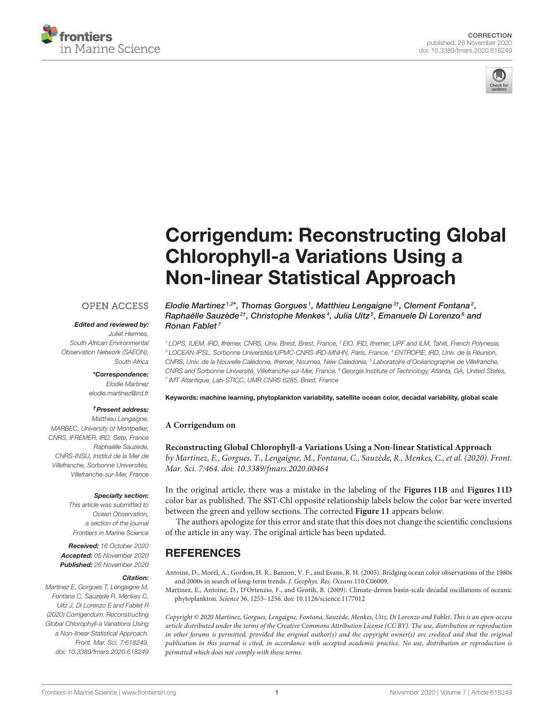



# [Corrigendum: Reconstructing Global](https://www.frontiersin.org/articles/10.3389/fmars.2020.618249/full) Chlorophyll-a Variations Using a Non-linear Statistical Approach

# **OPEN ACCESS**

#### Edited and reviewed by:

Juliet Hermes, South African Environmental Observation Network (SAEON), South Africa

> \*Correspondence: Elodie Martinez [elodie.martinez@ird.fr](mailto:elodie.martinez@ird.fr)

## †Present address:

Matthieu Lengaigne, MARBEC, University of Montpellier, CNRS, IFREMER, IRD, Sete, France Raphaëlle Sauzède, CNRS-INSU, Institut de la Mer de Villefranche, Sorbonne Universités, Villefranche-sur-Mer, France

#### Specialty section:

This article was submitted to Ocean Observation, a section of the journal Frontiers in Marine Science

Received: 16 October 2020 Accepted: 05 November 2020 Published: 26 November 2020

#### Citation:

Martinez E, Gorgues T, Lengaigne M, Fontana C, Sauzède R, Menkes C, Uitz J, Di Lorenzo E and Fablet R (2020) Corrigendum: Reconstructing Global Chlorophyll-a Variations Using a Non-linear Statistical Approach. Front. Mar. Sci. 7:618249. doi: [10.3389/fmars.2020.618249](https://doi.org/10.3389/fmars.2020.618249)

Elodie Martinez<sup>1,2\*</sup>, Thomas Gorgues<sup>1</sup>, Matthieu Lengaigne<sup>3†</sup>, Clement Fontana<sup>2</sup>, Raphaëlle Sauzède<sup>2†</sup>, Christophe Menkes<sup>4</sup>, Julia Uitz<sup>5</sup>, Emanuele Di Lorenzo<sup>6</sup> and Ronan Fablet<sup>7</sup>

<sup>1</sup> LOPS, IUEM, IRD, Ifremer, CNRS, Univ. Brest, Brest, France, <sup>2</sup> EIO, IRD, Ifremer, UPF and ILM, Tahiti, French Polynesia, <sup>3</sup> LOCEAN-IPSL, Sorbonne Universités/UPMC-CNRS-IRD-MNHN, Paris, France, <sup>4</sup> ENTROPIE, IRD, Univ. de la Réunion, CNRS, Univ. de la Nouvelle Calédonie, Ifremer, Noumea, New Caledonia, <sup>5</sup> Laboratoire d'Océanographie de Villefranche, CNRS and Sorbonne Université, Villefranche-sur-Mer, France, <sup>6</sup> Georgia Institute of Technology, Atlanta, GA, United States, 7 IMT Atlantique, Lab-STICC, UMR CNRS 6285, Brest, France

Keywords: machine learning, phytoplankton variability, satellite ocean color, decadal variability, global scale

### **A Corrigendum on**

**[Reconstructing Global Chlorophyll-a Variations Using a Non-linear Statistical Approach](https://doi.org/10.3389/fmars.2020.00464)** by Martinez, E., Gorgues, T., Lengaigne, M., Fontana, C., Sauzède, R., Menkes, C., et al. (2020). Front. Mar. Sci. 7:464. doi: [10.3389/fmars.2020.00464](https://doi.org/10.3389/fmars.2020.00464)

In the original article, there was a mistake in the labeling of the **[Figures 11B](#page-1-0)** and **[Figures 11D](#page-1-0)** color bar as published. The SST-Chl opposite relationship labels below the color bar were inverted between the green and yellow sections. The corrected **[Figure 11](#page-1-0)** appears below.

The authors apologize for this error and state that this does not change the scientific conclusions of the article in any way. The original article has been updated.

# **REFERENCES**

<span id="page-0-0"></span>Antoine, D., Morel, A., Gordon, H. R., Banzon, V. F., and Evans, R. H. (2005). Bridging ocean color observations of the 1980s and 2000s in search of long-term trends. J. Geophys. Res. Oceans 110:C06009.

<span id="page-0-1"></span>Martinez, E., Antoine, D., D'Ortenzio, F., and Gentili, B. (2009). Climate-driven basin-scale decadal oscillations of oceanic phytoplankton. Science 36, 1253–1256. doi: [10.1126/science.1177012](https://doi.org/10.1126/science.1177012)

Copyright © 2020 Martinez, Gorgues, Lengaigne, Fontana, Sauzède, Menkes, Uitz, Di Lorenzo and Fablet. This is an open-access article distributed under the terms of the [Creative Commons](http://creativecommons.org/licenses/by/4.0/) [Attribution License \(CC BY\).](http://creativecommons.org/licenses/by/4.0/) The use, distribution or reproduction in other forums is permitted, provided the original author(s) and the copyright owner(s) are credited and that the original publication in this journal is cited, in accordance with accepted academic practice. No use, distribution or reproduction is permitted which does not comply with these terms.